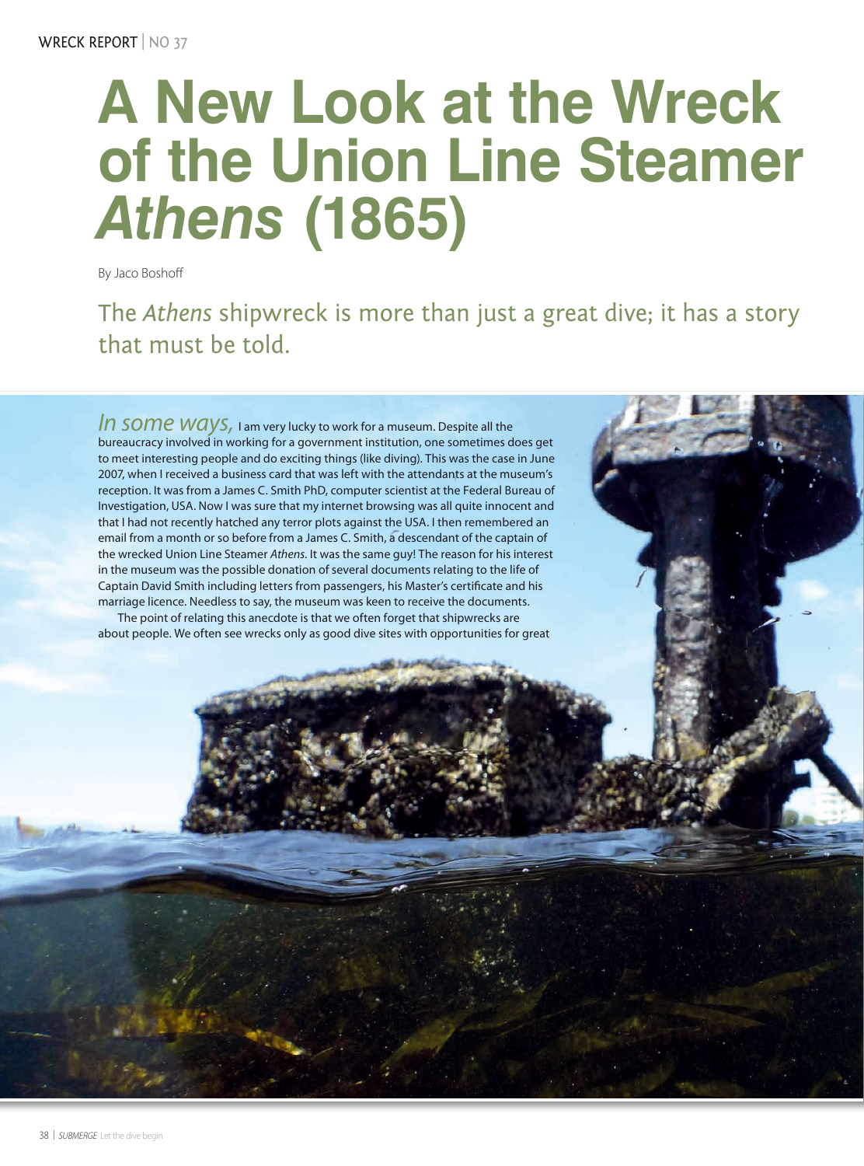## **A New Look at the Wreck of the Union Line Steamer**  *Athens* **(1865)**

By Jaco Boshoff

The *Athens* shipwreck is more than just a great dive; it has a story that must be told.

*In some Ways*, I am very lucky to work for a museum. Despite all the bureaucracy involved in working for a government institution, one sometimes does get to meet interesting people and do exciting things (like diving). This was the case in June 2007, when I received a business card that was left with the attendants at the museum's reception. It was from a James C. Smith PhD, computer scientist at the Federal Bureau of Investigation, USA. Now I was sure that my internet browsing was all quite innocent and that I had not recently hatched any terror plots against the USA. I then remembered an email from a month or so before from a James C. Smith, a descendant of the captain of the wrecked Union Line Steamer *Athens*. It was the same guy! The reason for his interest in the museum was the possible donation of several documents relating to the life of Captain David Smith including letters from passengers, his Master's certificate and his marriage licence. Needless to say, the museum was keen to receive the documents.

The point of relating this anecdote is that we often forget that shipwrecks are about people. We often see wrecks only as good dive sites with opportunities for great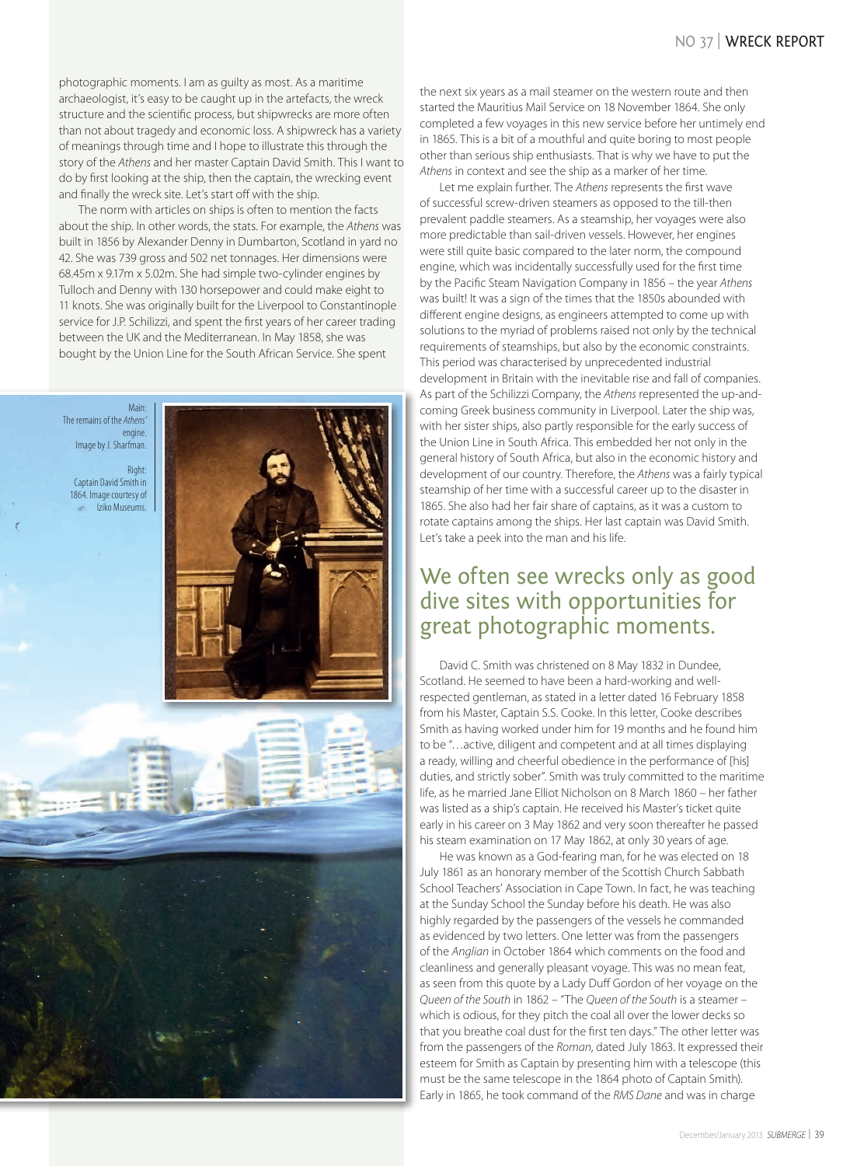## NO 37 | WRECK REPORT

photographic moments. I am as guilty as most. As a maritime archaeologist, it's easy to be caught up in the artefacts, the wreck structure and the scientific process, but shipwrecks are more often than not about tragedy and economic loss. A shipwreck has a variety of meanings through time and I hope to illustrate this through the story of the *Athens* and her master Captain David Smith. This I want to do by first looking at the ship, then the captain, the wrecking event and finally the wreck site. Let's start off with the ship.

The norm with articles on ships is often to mention the facts about the ship. In other words, the stats. For example, the *Athens* was built in 1856 by Alexander Denny in Dumbarton, Scotland in yard no 42. She was 739 gross and 502 net tonnages. Her dimensions were 68.45m x 9.17m x 5.02m. She had simple two-cylinder engines by Tulloch and Denny with 130 horsepower and could make eight to 11 knots. She was originally built for the Liverpool to Constantinople service for J.P. Schilizzi, and spent the first years of her career trading between the UK and the Mediterranean. In May 1858, she was bought by the Union Line for the South African Service. She spent



the next six years as a mail steamer on the western route and then started the Mauritius Mail Service on 18 November 1864. She only completed a few voyages in this new service before her untimely end in 1865. This is a bit of a mouthful and quite boring to most people other than serious ship enthusiasts. That is why we have to put the *Athens* in context and see the ship as a marker of her time.

Let me explain further. The *Athens* represents the first wave of successful screw-driven steamers as opposed to the till-then prevalent paddle steamers. As a steamship, her voyages were also more predictable than sail-driven vessels. However, her engines were still quite basic compared to the later norm, the compound engine, which was incidentally successfully used for the first time by the Pacific Steam Navigation Company in 1856 – the year *Athens* was built! It was a sign of the times that the 1850s abounded with different engine designs, as engineers attempted to come up with solutions to the myriad of problems raised not only by the technical requirements of steamships, but also by the economic constraints. This period was characterised by unprecedented industrial development in Britain with the inevitable rise and fall of companies. As part of the Schilizzi Company, the *Athens* represented the up-andcoming Greek business community in Liverpool. Later the ship was, with her sister ships, also partly responsible for the early success of the Union Line in South Africa. This embedded her not only in the general history of South Africa, but also in the economic history and development of our country. Therefore, the *Athens* was a fairly typical steamship of her time with a successful career up to the disaster in 1865. She also had her fair share of captains, as it was a custom to rotate captains among the ships. Her last captain was David Smith. Let's take a peek into the man and his life.

## We often see wrecks only as good dive sites with opportunities for great photographic moments.

David C. Smith was christened on 8 May 1832 in Dundee, Scotland. He seemed to have been a hard-working and wellrespected gentleman, as stated in a letter dated 16 February 1858 from his Master, Captain S.S. Cooke. In this letter, Cooke describes Smith as having worked under him for 19 months and he found him to be "…active, diligent and competent and at all times displaying a ready, willing and cheerful obedience in the performance of [his] duties, and strictly sober". Smith was truly committed to the maritime life, as he married Jane Elliot Nicholson on 8 March 1860 – her father was listed as a ship's captain. He received his Master's ticket quite early in his career on 3 May 1862 and very soon thereafter he passed his steam examination on 17 May 1862, at only 30 years of age.

He was known as a God-fearing man, for he was elected on 18 July 1861 as an honorary member of the Scottish Church Sabbath School Teachers' Association in Cape Town. In fact, he was teaching at the Sunday School the Sunday before his death. He was also highly regarded by the passengers of the vessels he commanded as evidenced by two letters. One letter was from the passengers of the *Anglian* in October 1864 which comments on the food and cleanliness and generally pleasant voyage. This was no mean feat, as seen from this quote by a Lady Duff Gordon of her voyage on the *Queen of the South* in 1862 – "The *Queen of the South* is a steamer – which is odious, for they pitch the coal all over the lower decks so that you breathe coal dust for the first ten days." The other letter was from the passengers of the *Roman*, dated July 1863. It expressed their esteem for Smith as Captain by presenting him with a telescope (this must be the same telescope in the 1864 photo of Captain Smith). Early in 1865, he took command of the *RMS Dane* and was in charge